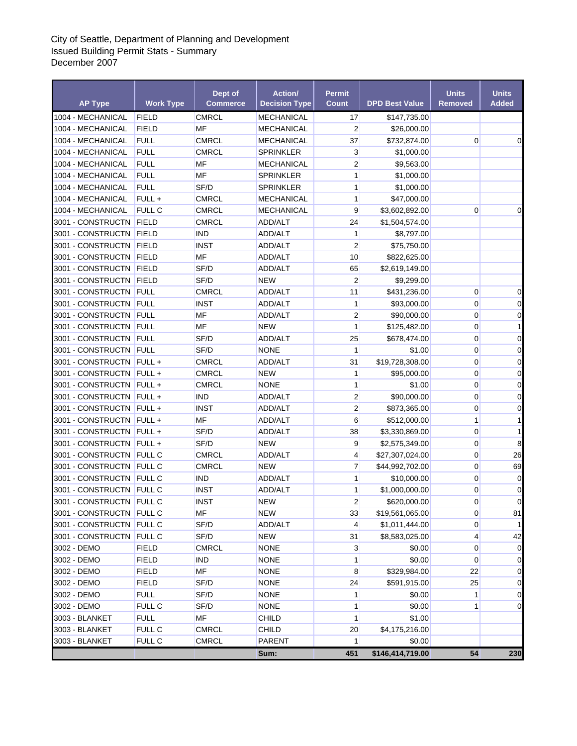## City of Seattle, Department of Planning and Development Issued Building Permit Stats - Summary December 2007

| <b>AP Type</b>                                       | <b>Work Type</b> | Dept of<br><b>Commerce</b> | <b>Action/</b><br><b>Decision Type</b> | <b>Permit</b><br><b>Count</b> | <b>DPD Best Value</b>             | <b>Units</b><br>Removed | <b>Units</b><br><b>Added</b> |
|------------------------------------------------------|------------------|----------------------------|----------------------------------------|-------------------------------|-----------------------------------|-------------------------|------------------------------|
| 1004 - MECHANICAL                                    | <b>FIELD</b>     | <b>CMRCL</b>               | MECHANICAL                             | 17                            | \$147,735.00                      |                         |                              |
| 1004 - MECHANICAL                                    | <b>FIELD</b>     | MF                         | MECHANICAL                             | $\overline{2}$                | \$26,000.00                       |                         |                              |
| 1004 - MECHANICAL                                    | <b>FULL</b>      | <b>CMRCL</b>               | MECHANICAL                             | 37                            | \$732,874.00                      | $\mathbf 0$             | 0                            |
| 1004 - MECHANICAL                                    | <b>FULL</b>      | <b>CMRCL</b>               | SPRINKLER                              | 3                             | \$1,000.00                        |                         |                              |
| 1004 - MECHANICAL                                    | <b>FULL</b>      | MF                         | MECHANICAL                             | $\overline{2}$                | \$9,563.00                        |                         |                              |
| 1004 - MECHANICAL                                    | <b>FULL</b>      | MF                         | SPRINKLER                              | $\mathbf{1}$                  | \$1,000.00                        |                         |                              |
| 1004 - MECHANICAL                                    | <b>FULL</b>      | SF/D                       | <b>SPRINKLER</b>                       | 1                             | \$1,000.00                        |                         |                              |
| 1004 - MECHANICAL                                    | FULL+            | <b>CMRCL</b>               | MECHANICAL                             | 1                             | \$47,000.00                       |                         |                              |
| 1004 - MECHANICAL                                    | <b>FULL C</b>    | <b>CMRCL</b>               | <b>MECHANICAL</b>                      | 9                             | \$3,602,892.00                    | 0                       | 0                            |
| 3001 - CONSTRUCTN                                    | FIELD            | <b>CMRCL</b>               | ADD/ALT                                | 24                            | \$1,504,574.00                    |                         |                              |
| 3001 - CONSTRUCTN                                    | <b>FIELD</b>     | <b>IND</b>                 | ADD/ALT                                | 1                             | \$8,797.00                        |                         |                              |
| 3001 - CONSTRUCTN                                    | <b>FIELD</b>     | <b>INST</b>                | ADD/ALT                                | $\overline{2}$                | \$75,750.00                       |                         |                              |
| 3001 - CONSTRUCTN                                    | <b>FIELD</b>     | MF                         | ADD/ALT                                | 10                            | \$822,625.00                      |                         |                              |
| 3001 - CONSTRUCTN                                    | <b>FIELD</b>     | SF/D                       | ADD/ALT                                | 65                            | \$2,619,149.00                    |                         |                              |
| 3001 - CONSTRUCTN                                    | FIELD            | SF/D                       | <b>NEW</b>                             | $\overline{\mathbf{c}}$       | \$9,299.00                        |                         |                              |
| 3001 - CONSTRUCTN                                    | FULL             | <b>CMRCL</b>               | <b>ADD/ALT</b>                         | 11                            | \$431,236.00                      | 0                       | 0                            |
| 3001 - CONSTRUCTN                                    | <b>FULL</b>      | <b>INST</b>                | <b>ADD/ALT</b>                         | 1                             | \$93,000.00                       | $\mathbf 0$             | 0                            |
| 3001 - CONSTRUCTN                                    | FULL             | MF                         | ADD/ALT                                | $\overline{2}$                | \$90,000.00                       | $\mathbf 0$             | 0                            |
| 3001 - CONSTRUCTN                                    | <b>FULL</b>      | MF                         | <b>NEW</b>                             | 1                             | \$125,482.00                      | $\mathbf 0$             | 1                            |
| 3001 - CONSTRUCTN                                    | <b>FULL</b>      | SF/D                       | ADD/ALT                                | 25                            | \$678,474.00                      | 0                       | 0                            |
| 3001 - CONSTRUCTN                                    | <b>FULL</b>      | SF/D                       | <b>NONE</b>                            | $\mathbf{1}$                  | \$1.00                            | $\mathbf 0$             | 0                            |
| 3001 - CONSTRUCTN                                    | FULL+            | <b>CMRCL</b>               | ADD/ALT                                | 31                            | \$19,728,308.00                   | 0                       | 0                            |
| 3001 - CONSTRUCTN                                    | $FULL +$         | <b>CMRCL</b>               | <b>NEW</b>                             | 1                             | \$95,000.00                       | 0                       | $\mathbf 0$                  |
| 3001 - CONSTRUCTN FULL +                             |                  | <b>CMRCL</b>               | NONE                                   | $\mathbf{1}$                  | \$1.00                            | 0                       | 0                            |
| 3001 - CONSTRUCTN                                    | $FULL +$         | <b>IND</b>                 | ADD/ALT                                | $\mathbf 2$                   | \$90,000.00                       | 0                       | $\mathbf 0$                  |
| 3001 - CONSTRUCTN FULL +                             |                  | <b>INST</b>                | ADD/ALT                                | $\overline{2}$                | \$873,365.00                      | $\mathbf 0$             | 0                            |
| 3001 - CONSTRUCTN                                    | $FULL +$         | MF                         | <b>ADD/ALT</b>                         | 6                             | \$512,000.00                      | 1                       | 1                            |
| 3001 - CONSTRUCTN                                    | FULL+            | SF/D                       | <b>ADD/ALT</b>                         | 38                            | \$3,330,869.00                    | $\mathbf 0$             |                              |
| 3001 - CONSTRUCTN                                    | FULL +           | SF/D                       | NEW                                    | 9                             | \$2,575,349.00                    | $\mathbf 0$             | 8                            |
| 3001 - CONSTRUCTN                                    | <b>FULL C</b>    | <b>CMRCL</b>               | <b>ADD/ALT</b>                         | 4                             | \$27,307,024.00                   | 0                       | 26                           |
| 3001 - CONSTRUCTN                                    | <b>FULL C</b>    | <b>CMRCL</b>               | <b>NEW</b>                             | 7                             | \$44,992,702.00                   | 0                       | 69                           |
| 3001 - CONSTRUCTN                                    | <b>FULL C</b>    | <b>IND</b>                 | ADD/ALT                                | $\mathbf{1}$                  | \$10,000.00                       | 0                       | 0                            |
| 3001 - CONSTRUCTN                                    | <b>FULL C</b>    | <b>INST</b>                | ADD/ALT                                | 1                             | \$1,000,000.00                    | $\mathbf 0$             | 0                            |
| 3001 - CONSTRUCTN FULL C                             |                  | <b>INST</b>                | <b>NEW</b>                             | $\boldsymbol{2}$              | \$620,000.00                      | $\Omega$                | $\Omega$                     |
|                                                      |                  | MF                         | NEW                                    |                               |                                   | 0                       |                              |
| 3001 - CONSTRUCTN FULL C<br>3001 - CONSTRUCTN FULL C |                  | SF/D                       | ADD/ALT                                | 33                            | \$19,561,065.00<br>\$1,011,444.00 | 0                       | 81                           |
|                                                      |                  |                            |                                        | 4                             |                                   | 4                       |                              |
| 3001 - CONSTRUCTN                                    | <b>FULL C</b>    | SF/D                       | <b>NEW</b>                             | 31                            | \$8,583,025.00                    |                         | 42                           |
| 3002 - DEMO                                          | <b>FIELD</b>     | <b>CMRCL</b>               | <b>NONE</b>                            | 3                             | \$0.00                            | $\mathbf 0$             | 0                            |
| 3002 - DEMO                                          | <b>FIELD</b>     | <b>IND</b>                 | <b>NONE</b>                            | 1                             | \$0.00                            | $\mathbf 0$             | 0                            |
| 3002 - DEMO                                          | <b>FIELD</b>     | MF                         | <b>NONE</b>                            | 8                             | \$329,984.00                      | 22                      | 0                            |
| 3002 - DEMO                                          | <b>FIELD</b>     | SF/D                       | <b>NONE</b>                            | 24                            | \$591,915.00                      | 25                      | 0                            |
| 3002 - DEMO                                          | <b>FULL</b>      | SF/D                       | <b>NONE</b>                            | 1                             | \$0.00                            | 1                       | 0                            |
| 3002 - DEMO                                          | FULL C           | SF/D                       | <b>NONE</b>                            | 1                             | \$0.00                            | 1                       | 0                            |
| 3003 - BLANKET                                       | <b>FULL</b>      | MF                         | CHILD                                  | 1                             | \$1.00                            |                         |                              |
| 3003 - BLANKET                                       | FULL C           | <b>CMRCL</b>               | CHILD                                  | 20                            | \$4,175,216.00                    |                         |                              |
| 3003 - BLANKET                                       | <b>FULL C</b>    | <b>CMRCL</b>               | PARENT                                 | 1                             | \$0.00                            |                         |                              |
|                                                      |                  |                            | Sum:                                   | 451                           | \$146,414,719.00                  | 54                      | 230                          |